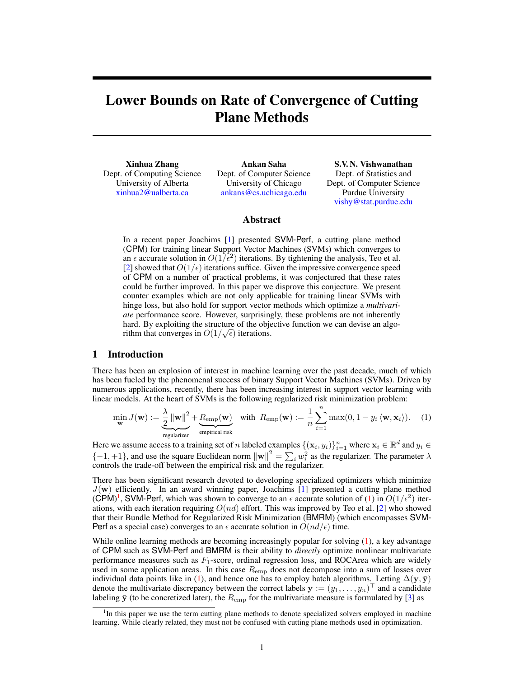# Lower Bounds on Rate of Convergence of Cutting Plane Methods

Xinhua Zhang Dept. of Computing Science University of Alberta [xinhua2@ualberta.ca](mailto:xinhua2@ualberta.ca)

Ankan Saha Dept. of Computer Science University of Chicago [ankans@cs.uchicago.edu](mailto:ankans@cs.uchicago.edu)

S.V. N. Vishwanathan Dept. of Statistics and Dept. of Computer Science Purdue University [vishy@stat.purdue.edu](mailto:vishy@stat.purdue.edu)

#### Abstract

In a recent paper Joachims [1] presented SVM-Perf, a cutting plane method (CPM) for training linear Support Vector Machines (SVMs) which converges to an  $\epsilon$  accurate solution in  $O(1/\epsilon^2)$  iterations. By tightening the analysis, Teo et al. [2] showed that  $O(1/\epsilon)$  iterations suffice. Given the impressive convergence speed of CPM on a number of practical problems, it was conjectured that these rates could be further improved. In this paper we disprove this conjecture. We present counter examples which are not only applicable for training linear SVMs with hinge loss, but also hold for support vector methods which optimize a *multivariate* performance score. However, surprisingly, these problems are not inherently hard. By exploiting the structure of the objective function we can devise an algorithm that converges in  $O(1/\sqrt{\epsilon})$  iterations.

# 1 Introduction

There has been an explosion of interest in machine learning over the past decade, much of which has been fueled by the phenomenal success of binary Support Vector Machines (SVMs). Driven by numerous applications, recently, there has been increasing interest in support vector learning with linear models. At the heart of SVMs is the following regularized risk minimization problem:

$$
\min_{\mathbf{w}} J(\mathbf{w}) := \underbrace{\frac{\lambda}{2} \|\mathbf{w}\|^2}_{\text{regularizer}} + \underbrace{R_{\text{emp}}(\mathbf{w})}_{\text{empirical risk}} \quad \text{with} \quad R_{\text{emp}}(\mathbf{w}) := \frac{1}{n} \sum_{i=1}^n \max(0, 1 - y_i \langle \mathbf{w}, \mathbf{x}_i \rangle). \tag{1}
$$

Here we assume access to a training set of n labeled examples  $\{(\mathbf{x}_i, y_i)\}_{i=1}^n$  where  $\mathbf{x}_i \in \mathbb{R}^d$  and  $y_i \in$  $\{-1,+1\}$ , and use the square Euclidean norm  $\|\mathbf{w}\|^2 = \sum_i w_i^2$  as the regularizer. The parameter  $\lambda$ controls the trade-off between the empirical risk and the regularizer.

There has been significant research devoted to developing specialized optimizers which minimize  $J(\mathbf{w})$  efficiently. In an award winning paper, Joachims [1] presented a cutting plane method (CPM)<sup>1</sup>, SVM-Perf, which was shown to converge to an  $\epsilon$  accurate solution of (1) in  $O(1/\epsilon^2)$  iterations, with each iteration requiring  $O(nd)$  effort. This was improved by Teo et al. [2] who showed that their Bundle Method for Regularized Risk Minimization (BMRM) (which encompasses SVM-Perf as a special case) converges to an  $\epsilon$  accurate solution in  $O(nd/\epsilon)$  time.

While online learning methods are becoming increasingly popular for solving (1), a key advantage of CPM such as SVM-Perf and BMRM is their ability to *directly* optimize nonlinear multivariate performance measures such as  $F_1$ -score, ordinal regression loss, and ROCArea which are widely used in some application areas. In this case  $R_{\text{emp}}$  does not decompose into a sum of losses over individual data points like in (1), and hence one has to employ batch algorithms. Letting  $\Delta(y, \bar{y})$ denote the multivariate discrepancy between the correct labels  $\mathbf{y} := (y_1, \dots, y_n)^\top$  and a candidate labeling  $\bar{y}$  (to be concretized later), the  $R_{\text{emp}}$  for the multivariate measure is formulated by [3] as

<sup>&</sup>lt;sup>1</sup>In this paper we use the term cutting plane methods to denote specialized solvers employed in machine learning. While clearly related, they must not be confused with cutting plane methods used in optimization.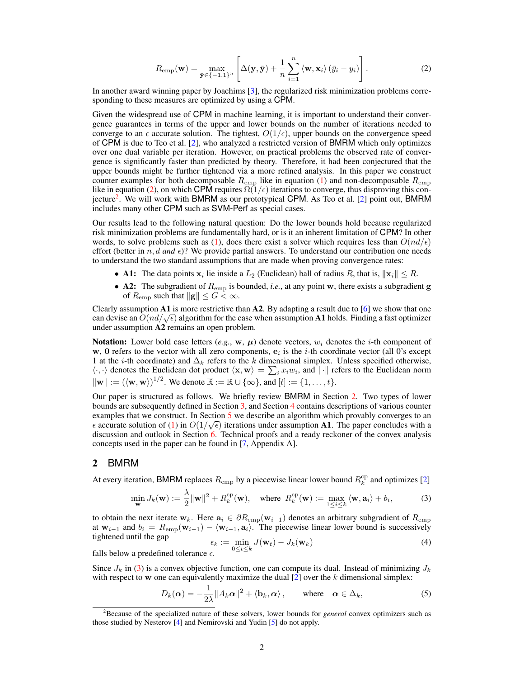$$
R_{\text{emp}}(\mathbf{w}) = \max_{\bar{\mathbf{y}} \in \{-1,1\}^n} \left[ \Delta(\mathbf{y}, \bar{\mathbf{y}}) + \frac{1}{n} \sum_{i=1}^n \langle \mathbf{w}, \mathbf{x}_i \rangle (\bar{y}_i - y_i) \right].
$$
 (2)

In another award winning paper by Joachims [3], the regularized risk minimization problems corresponding to these measures are optimized by using a CPM.

Given the widespread use of CPM in machine learning, it is important to understand their convergence guarantees in terms of the upper and lower bounds on the number of iterations needed to converge to an  $\epsilon$  accurate solution. The tightest,  $O(1/\epsilon)$ , upper bounds on the convergence speed of CPM is due to Teo et al. [2], who analyzed a restricted version of BMRM which only optimizes over one dual variable per iteration. However, on practical problems the observed rate of convergence is significantly faster than predicted by theory. Therefore, it had been conjectured that the upper bounds might be further tightened via a more refined analysis. In this paper we construct counter examples for both decomposable  $R_{\text{emp}}$  like in equation (1) and non-decomposable  $R_{\text{emp}}$ like in equation (2), on which CPM requires  $\Omega(1/\epsilon)$  iterations to converge, thus disproving this conjecture<sup>2</sup>. We will work with BMRM as our prototypical CPM. As Teo et al. [2] point out, BMRM includes many other CPM such as SVM-Perf as special cases.

Our results lead to the following natural question: Do the lower bounds hold because regularized risk minimization problems are fundamentally hard, or is it an inherent limitation of CPM? In other words, to solve problems such as (1), does there exist a solver which requires less than  $O(nd/\epsilon)$ effort (better in  $n, d$  *and*  $\epsilon$ )? We provide partial answers. To understand our contribution one needs to understand the two standard assumptions that are made when proving convergence rates:

- A1: The data points  $x_i$  lie inside a  $L_2$  (Euclidean) ball of radius R, that is,  $\|\mathbf{x}_i\| \leq R$ .
- A2: The subgradient of  $R_{\text{emp}}$  is bounded, *i.e.*, at any point w, there exists a subgradient g of  $R_{\text{emp}}$  such that  $\|\mathbf{g}\| \leq G < \infty$ .

Clearly assumption  $\mathbf{A1}$  is more restrictive than  $\mathbf{A2}$ . By adapting a result due to [6] we show that one Clearly assumption A1 is more restrictive than A2. By adapting a result due to [o] we show that one can devise an  $O(nd/\sqrt{\epsilon})$  algorithm for the case when assumption A1 holds. Finding a fast optimizer under assumption A2 remains an open problem.

**Notation:** Lower bold case letters (*e.g.*,  $w$ ,  $\mu$ ) denote vectors,  $w_i$  denotes the *i*-th component of w, 0 refers to the vector with all zero components,  $e_i$  is the *i*-th coordinate vector (all 0's except 1 at the *i*-th coordinate) and  $\Delta_k$  refers to the k dimensional simplex. Unless specified otherwise,  $\langle \cdot, \cdot \rangle$  denotes the Euclidean dot product  $\langle \mathbf{x}, \mathbf{w} \rangle = \sum_i x_i w_i$ , and  $||\cdot||$  refers to the Euclidean norm  $\|\mathbf{w}\| := (\langle \mathbf{w}, \mathbf{w} \rangle)^{1/2}$ . We denote  $\overline{\mathbb{R}} := \mathbb{R} \cup \{\infty\}$ , and  $[t] := \{1, \dots, t\}$ .

Our paper is structured as follows. We briefly review BMRM in Section 2. Two types of lower bounds are subsequently defined in Section 3, and Section 4 contains descriptions of various counter examples that we construct. In Section 5 we describe an algorithm which provably converges to an  $\epsilon$  accurate solution of (1) in  $O(1/\sqrt{\epsilon})$  iterations under assumption **A1**. The paper concludes with a discussion and outlook in Section 6. Technical proofs and a ready reckoner of the convex analysis concepts used in the paper can be found in [7, Appendix A].

### 2 BMRM

At every iteration, BMRM replaces  $R_{\text{emp}}$  by a piecewise linear lower bound  $R_k^{\text{cp}}$  and optimizes [2]

$$
\min_{\mathbf{w}} J_k(\mathbf{w}) := \frac{\lambda}{2} \|\mathbf{w}\|^2 + R_k^{\rm cp}(\mathbf{w}), \quad \text{where } R_k^{\rm cp}(\mathbf{w}) := \max_{1 \le i \le k} \langle \mathbf{w}, \mathbf{a}_i \rangle + b_i,
$$
 (3)

to obtain the next iterate  $w_k$ . Here  $a_i \in \partial R_{emp}(w_{i-1})$  denotes an arbitrary subgradient of  $R_{emp}$ at  $w_{i-1}$  and  $b_i = R_{emp}(w_{i-1}) - \langle w_{i-1}, a_i \rangle$ . The piecewise linear lower bound is successively tightened until the gap

$$
\epsilon_k := \min_{0 \le t \le k} J(\mathbf{w}_t) - J_k(\mathbf{w}_k)
$$
\n(4)

falls below a predefined tolerance  $\epsilon$ .

Since  $J_k$  in (3) is a convex objective function, one can compute its dual. Instead of minimizing  $J_k$ with respect to w one can equivalently maximize the dual  $[2]$  over the k dimensional simplex:

$$
D_k(\boldsymbol{\alpha}) = -\frac{1}{2\lambda} ||A_k \boldsymbol{\alpha}||^2 + \langle \mathbf{b}_k, \boldsymbol{\alpha} \rangle, \quad \text{where} \quad \boldsymbol{\alpha} \in \Delta_k,
$$
 (5)

<sup>2</sup>Because of the specialized nature of these solvers, lower bounds for *general* convex optimizers such as those studied by Nesterov [4] and Nemirovski and Yudin [5] do not apply.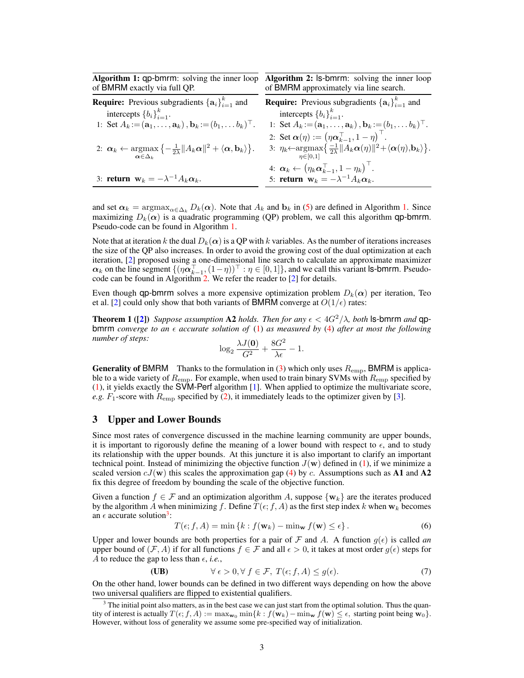| <b>Algorithm 1: qp-bmrm:</b> solving the inner loop<br>of BMRM exactly via full QP.                                                                                   | Algorithm 2: Is-bmrm: solving the inner loop<br>of BMRM approximately via line search.                                                                   |  |  |
|-----------------------------------------------------------------------------------------------------------------------------------------------------------------------|----------------------------------------------------------------------------------------------------------------------------------------------------------|--|--|
| <b>Require:</b> Previous subgradients $\{a_i\}_{i=1}^k$ and                                                                                                           | <b>Require:</b> Previous subgradients $\{a_i\}_{i=1}^k$ and                                                                                              |  |  |
| intercepts ${b_i}_{i=1}^k$ .                                                                                                                                          | intercepts ${b_i}_{i=1}^k$ .                                                                                                                             |  |  |
| 1: Set $A_k := (\mathbf{a}_1, \dots, \mathbf{a}_k)$ , $\mathbf{b}_k := (b_1, \dots, b_k)^\top$ .                                                                      | 1: Set $A_k := (\mathbf{a}_1, \dots, \mathbf{a}_k)$ , $\mathbf{b}_k := (b_1, \dots b_k)^\top$ .                                                          |  |  |
|                                                                                                                                                                       | 2: Set $\alpha(\eta) := (\eta \alpha_{k-1}^\top, 1 - \eta)^\top$ .                                                                                       |  |  |
| 2: $\alpha_k \leftarrow \operatorname{argmax} \left\{ -\frac{1}{2\lambda}   A_k \alpha  ^2 + \langle \alpha, \mathbf{b}_k \rangle \right\}.$<br>$\alpha \in \Delta_k$ | 3: $\eta_k \leftarrow \arg\max\left\{\frac{-1}{2\lambda}   A_k \alpha(\eta)  ^2 + \langle \alpha(\eta), \mathbf{b}_k \rangle \right\}.$<br>$n \in [0,1]$ |  |  |
|                                                                                                                                                                       | 4: $\alpha_k \leftarrow (\eta_k \alpha_{k-1}^\top, 1 - \eta_k)^\top$ .                                                                                   |  |  |
| 3: return $\mathbf{w}_k = -\lambda^{-1} A_k \alpha_k$ .                                                                                                               | 5: return $\mathbf{w}_k = -\lambda^{-1} A_k \alpha_k$ .                                                                                                  |  |  |

and set  $\alpha_k = \argmax_{\alpha \in \Delta_k} D_k(\alpha)$ . Note that  $A_k$  and  $b_k$  in (5) are defined in Algorithm 1. Since maximizing  $D_k(\alpha)$  is a quadratic programming (QP) problem, we call this algorithm qp-bmrm. Pseudo-code can be found in Algorithm 1.

Note that at iteration k the dual  $D_k(\alpha)$  is a QP with k variables. As the number of iterations increases the size of the QP also increases. In order to avoid the growing cost of the dual optimization at each iteration, [2] proposed using a one-dimensional line search to calculate an approximate maximizer  $\alpha_k$  on the line segment  $\{(\eta \alpha_{k-1}^{\top},(1-\eta))^{\top} : \eta \in [0,1]\}$ , and we call this variant **S-bmrm**. Pseudocode can be found in Algorithm 2. We refer the reader to [2] for details.

Even though qp-bmrm solves a more expensive optimization problem  $D_k(\alpha)$  per iteration, Teo et al. [2] could only show that both variants of BMRM converge at  $O(1/\epsilon)$  rates:

**Theorem 1** ([2]) *Suppose assumption* A2 *holds. Then for any*  $\epsilon < 4G^2/\lambda$ , *both* **ls-bmrm** *and* **qp**bmrm *converge to an*  $\epsilon$  *accurate solution of* (1) *as measured by* (4) *after at most the following number of steps:*

$$
\log_2 \frac{\lambda J(\mathbf{0})}{G^2} + \frac{8G^2}{\lambda \epsilon} - 1.
$$

**Generality of BMRM** Thanks to the formulation in (3) which only uses  $R_{\text{emp}}$ , BMRM is applicable to a wide variety of  $R_{\text{emp}}$ . For example, when used to train binary SVMs with  $R_{\text{emp}}$  specified by (1), it yields exactly the SVM-Perf algorithm [1]. When applied to optimize the multivariate score, *e.g.*  $F_1$ -score with  $R_{\text{emp}}$  specified by (2), it immediately leads to the optimizer given by [3].

### 3 Upper and Lower Bounds

Since most rates of convergence discussed in the machine learning community are upper bounds, it is important to rigorously define the meaning of a lower bound with respect to  $\epsilon$ , and to study its relationship with the upper bounds. At this juncture it is also important to clarify an important technical point. Instead of minimizing the objective function  $J(w)$  defined in (1), if we minimize a scaled version  $cJ(\mathbf{w})$  this scales the approximation gap (4) by c. Assumptions such as **A1** and **A2** fix this degree of freedom by bounding the scale of the objective function.

Given a function  $f \in \mathcal{F}$  and an optimization algorithm A, suppose  $\{w_k\}$  are the iterates produced by the algorithm A when minimizing f. Define  $T(\epsilon; f, A)$  as the first step index k when  $w_k$  becomes an  $\epsilon$  accurate solution<sup>3</sup>:

$$
T(\epsilon; f, A) = \min \{ k : f(\mathbf{w}_k) - \min_{\mathbf{w}} f(\mathbf{w}) \le \epsilon \}.
$$
 (6)

Upper and lower bounds are both properties for a pair of F and A. A function  $g(\epsilon)$  is called *an* upper bound of  $(\mathcal{F}, A)$  if for all functions  $f \in \mathcal{F}$  and all  $\epsilon > 0$ , it takes at most order  $g(\epsilon)$  steps for A to reduce the gap to less than  $\epsilon$ , *i.e.*,

(UB) 
$$
\forall \epsilon > 0, \forall f \in \mathcal{F}, T(\epsilon; f, A) \le g(\epsilon). \tag{7}
$$

On the other hand, lower bounds can be defined in two different ways depending on how the above two universal qualifiers are flipped to existential qualifiers.

 $3$  The initial point also matters, as in the best case we can just start from the optimal solution. Thus the quantity of interest is actually  $T(\epsilon; f, A) := \max_{\mathbf{w}_0} \min\{k : f(\mathbf{w}_k) - \min_{\mathbf{w}} f(\mathbf{w}) \leq \epsilon,$  starting point being  $\mathbf{w}_0$ . However, without loss of generality we assume some pre-specified way of initialization.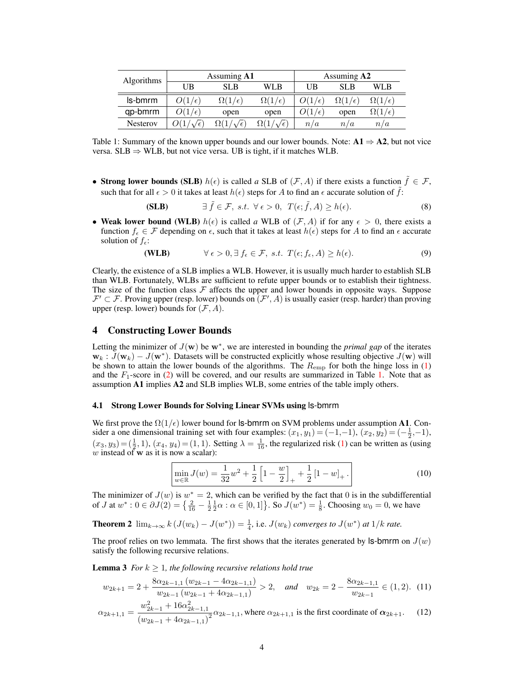| <b>Algorithms</b> | Assuming A1         |                      |                                            | Assuming A2       |                      |                      |
|-------------------|---------------------|----------------------|--------------------------------------------|-------------------|----------------------|----------------------|
|                   | UB                  | <b>SLB</b>           | WL B                                       | UB                | <b>SLB</b>           | WLB                  |
| ls-bmrm           | $\ell$              | $\Omega(1/\epsilon)$ | $\Omega(1/\epsilon)$                       | $\sqrt{\epsilon}$ | $\Omega(1/\epsilon)$ | $\Omega(1/\epsilon)$ |
| qp-bmrm           | $\epsilon$          | open                 | open                                       | $\ell$            | open                 | $(1/\epsilon)$       |
| <b>Nesterov</b>   | ′€<br>$\mathcal{N}$ | $\epsilon$           | $\Omega(1)$<br>$\epsilon$<br>$\mathcal{N}$ | n/a               | n/a                  | n/a                  |

Table 1: Summary of the known upper bounds and our lower bounds. Note:  $A1 \Rightarrow A2$ , but not vice versa.  $SLB \Rightarrow WLB$ , but not vice versa. UB is tight, if it matches WLB.

• Strong lower bounds (SLB)  $h(\epsilon)$  is called *a* SLB of  $(\mathcal{F}, A)$  if there exists a function  $\tilde{f} \in \mathcal{F}$ , such that for all  $\epsilon > 0$  it takes at least  $h(\epsilon)$  steps for A to find an  $\epsilon$  accurate solution of  $\tilde{f}$ :

(SLB) 
$$
\exists \tilde{f} \in \mathcal{F}, \ s.t. \ \forall \ \epsilon > 0, \ T(\epsilon; \tilde{f}, A) \ge h(\epsilon).
$$
 (8)

• Weak lower bound (WLB)  $h(\epsilon)$  is called *a* WLB of  $(\mathcal{F}, A)$  if for any  $\epsilon > 0$ , there exists a function  $f_{\epsilon} \in \mathcal{F}$  depending on  $\epsilon$ , such that it takes at least  $h(\epsilon)$  steps for A to find an  $\epsilon$  accurate solution of  $f_{\epsilon}$ :

(WLB) 
$$
\forall \epsilon > 0, \exists f_{\epsilon} \in \mathcal{F}, \ s.t. \ T(\epsilon; f_{\epsilon}, A) \geq h(\epsilon).
$$
 (9)

Clearly, the existence of a SLB implies a WLB. However, it is usually much harder to establish SLB than WLB. Fortunately, WLBs are sufficient to refute upper bounds or to establish their tightness. The size of the function class  $\mathcal F$  affects the upper and lower bounds in opposite ways. Suppose  $\mathcal{F}' \subset \mathcal{F}$ . Proving upper (resp. lower) bounds on  $(\mathcal{F}', A)$  is usually easier (resp. harder) than proving upper (resp. lower) bounds for  $(\mathcal{F}, A)$ .

# 4 Constructing Lower Bounds

Letting the minimizer of  $J(\mathbf{w})$  be  $\mathbf{w}^*$ , we are interested in bounding the *primal gap* of the iterates  $w_k$ :  $\tilde{J}(w_k) - J(w^*)$ . Datasets will be constructed explicitly whose resulting objective  $J(w)$  will be shown to attain the lower bounds of the algorithms. The  $R_{\text{emp}}$  for both the hinge loss in (1) and the  $F_1$ -score in (2) will be covered, and our results are summarized in Table 1. Note that as assumption A1 implies A2 and SLB implies WLB, some entries of the table imply others.

#### 4.1 Strong Lower Bounds for Solving Linear SVMs using ls-bmrm

We first prove the  $\Omega(1/\epsilon)$  lower bound for ls-bmrm on SVM problems under assumption A1. Consider a one dimensional training set with four examples:  $(x_1, y_1) = (-1, -1), (x_2, y_2) = (-\frac{1}{2}, -1),$  $(x_1, y_1) = \begin{pmatrix} 1 \\ 2 \end{pmatrix}, (x_4, y_4) = (1, 1)$ . Setting  $\lambda = \frac{1}{16}$ , the regularized risk (1) can be written as (using  $(x_3, y_3) = \begin{pmatrix} \frac{1}{2}, 1 \end{pmatrix}, (x_4, y_4) = (1, 1)$ . Setting  $\lambda = \frac{1}{16}$ , the regularized risk (1) can w instead of w as it is now a scalar):

$$
\lim_{w \in \mathbb{R}} J(w) = \frac{1}{32}w^2 + \frac{1}{2}\left[1 - \frac{w}{2}\right]_+ + \frac{1}{2}\left[1 - w\right]_+.
$$
\n(10)

The minimizer of  $J(w)$  is  $w^* = 2$ , which can be verified by the fact that 0 is in the subdifferential of *J* at  $w^*$ :  $0 \in \partial J(2) = \left\{ \frac{2}{16} - \frac{1}{2} \frac{1}{2} \alpha : \alpha \in [0,1] \right\}$ . So  $J(w^*) = \frac{1}{8}$ . Choosing  $w_0 = 0$ , we have

**Theorem 2** 
$$
\lim_{k \to \infty} k (J(w_k) - J(w^*)) = \frac{1}{4}
$$
, i.e.  $J(w_k)$  converges to  $J(w^*)$  at  $1/k$  rate.

The proof relies on two lemmata. The first shows that the iterates generated by  $|S\text{-}\text{bmm}$  on  $J(w)$ satisfy the following recursive relations.

**Lemma 3** *For*  $k \geq 1$ *, the following recursive relations hold true* 

$$
w_{2k+1} = 2 + \frac{8\alpha_{2k-1,1} (w_{2k-1} - 4\alpha_{2k-1,1})}{w_{2k-1} (w_{2k-1} + 4\alpha_{2k-1,1})} > 2, \quad \text{and} \quad w_{2k} = 2 - \frac{8\alpha_{2k-1,1}}{w_{2k-1}} \in (1, 2). \tag{11}
$$

$$
\alpha_{2k+1,1} = \frac{w_{2k-1}^2 + 16\alpha_{2k-1,1}^2}{(w_{2k-1} + 4\alpha_{2k-1,1})^2} \alpha_{2k-1,1}
$$
, where  $\alpha_{2k+1,1}$  is the first coordinate of  $\alpha_{2k+1}$ . (12)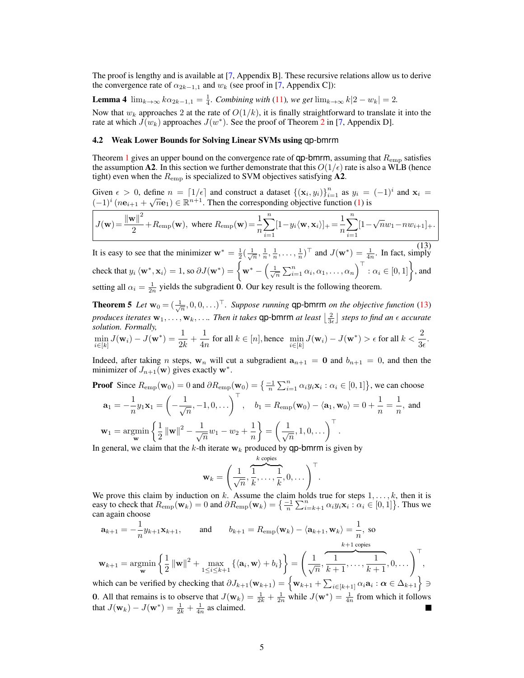The proof is lengthy and is available at [7, Appendix B]. These recursive relations allow us to derive the convergence rate of  $\alpha_{2k-1,1}$  and  $w_k$  (see proof in [7, Appendix C]):

**Lemma 4**  $\lim_{k\to\infty} k\alpha_{2k-1,1} = \frac{1}{4}$ *. Combining with* (11)*, we get*  $\lim_{k\to\infty} k|2 - w_k| = 2$ *.* 

Now that  $w_k$  approaches 2 at the rate of  $O(1/k)$ , it is finally straightforward to translate it into the rate at which  $\hat{J}(w_k)$  approaches  $J(w^*)$ . See the proof of Theorem 2 in [7, Appendix D].

# 4.2 Weak Lower Bounds for Solving Linear SVMs using qp-bmrm

Theorem 1 gives an upper bound on the convergence rate of  $qp$ -bmrm, assuming that  $R_{emp}$  satisfies the assumption A2. In this section we further demonstrate that this  $O(1/\epsilon)$  rate is also a WLB (hence tight) even when the  $R_{\text{emp}}$  is specialized to SVM objectives satisfying A2.

Given  $\epsilon > 0$ , define  $n = \lfloor 1/\epsilon \rfloor$  and construct a dataset  $\{(x_i, y_i)\}_{i=1}^n$  as  $y_i = (-1)^i$  and  $x_i = (-1)^i$  $(-1)^i$   $(n\mathbf{e}_{i+1} + \sqrt{n}\mathbf{e}_1) \in \mathbb{R}^{n+1}$ . Then the corresponding objective function (1) is

$$
J(\mathbf{w}) = \frac{\|\mathbf{w}\|^{2}}{2} + R_{\text{emp}}(\mathbf{w}), \text{ where } R_{\text{emp}}(\mathbf{w}) = \frac{1}{n} \sum_{i=1}^{n} [1 - y_{i} \langle \mathbf{w}, \mathbf{x}_{i} \rangle]_{+} = \frac{1}{n} \sum_{i=1}^{n} [1 - \sqrt{n} w_{1} - n w_{i+1}]_{+}.
$$

It is easy to see that the minimizer  $\mathbf{w}^* = \frac{1}{2}(\frac{1}{\sqrt{n}}, \frac{1}{n}, \frac{1}{n}, \dots, \frac{1}{n})^\top$  and  $J(\mathbf{w}^*) = \frac{1}{4n}$ . In fact, simply check that  $y_i \langle \mathbf{w}^*, \mathbf{x}_i \rangle = 1$ , so  $\partial J(\mathbf{w}^*) = \left\{ \mathbf{w}^* - \left( \frac{1}{\sqrt{n}} \sum_{i=1}^n \alpha_i, \alpha_1, \dots, \alpha_n \right)^\top : \alpha_i \in [0, 1] \right\}$ , and setting all  $\alpha_i = \frac{1}{2n}$  yields the subgradient 0. Our key result is the following theorem.

**Theorem 5** Let  $\mathbf{w}_0 = (\frac{1}{\sqrt{n}}, 0, 0, \ldots)^\top$ . Suppose running **qp-bmrm** on the objective function (13) *produces iterates*  $w_1, \ldots, w_k, \ldots$  *Then it takes* qp-bmrm *at least*  $\left\lfloor \frac{2}{3\epsilon} \right\rfloor$  *steps to find an*  $\epsilon$  *accurate solution. Formally,*  $\min_{i\in[k]}J(\mathbf{w}_i)-J(\mathbf{w}^*)=\frac{1}{2k}+\frac{1}{4n}$  $\frac{1}{4n}$  for all  $k \in [n]$ , hence  $\min_{i \in [k]} J(\mathbf{w}_i) - J(\mathbf{w}^*) > \epsilon$  for all  $k < \frac{2}{3\epsilon}$ .

Indeed, after taking n steps,  $w_n$  will cut a subgradient  $a_{n+1} = 0$  and  $b_{n+1} = 0$ , and then the minimizer of  $J_{n+1}(\mathbf{w})$  gives exactly  $\mathbf{w}^*$ .

**Proof** Since 
$$
R_{\text{emp}}(\mathbf{w}_0) = 0
$$
 and  $\partial R_{\text{emp}}(\mathbf{w}_0) = \left\{ \frac{-1}{n} \sum_{i=1}^n \alpha_i y_i \mathbf{x}_i : \alpha_i \in [0, 1] \right\}$ , we can choose  
\n
$$
\mathbf{a}_1 = -\frac{1}{n} y_1 \mathbf{x}_1 = \left( -\frac{1}{\sqrt{n}}, -1, 0, \ldots \right)^\top, \quad b_1 = R_{\text{emp}}(\mathbf{w}_0) - \langle \mathbf{a}_1, \mathbf{w}_0 \rangle = 0 + \frac{1}{n} = \frac{1}{n}, \text{ and}
$$
\n
$$
\mathbf{w}_1 = \operatorname*{argmin}_{\mathbf{w}} \left\{ \frac{1}{2} ||\mathbf{w}||^2 - \frac{1}{\sqrt{n}} w_1 - w_2 + \frac{1}{n} \right\} = \left( \frac{1}{\sqrt{n}}, 1, 0, \ldots \right)^\top.
$$

In general, we claim that the k-th iterate  $w_k$  produced by qp-bmrm is given by

$$
\mathbf{w}_k = \left(\frac{1}{\sqrt{n}}, \overbrace{\frac{1}{k}}, \dots, \frac{1}{k}, 0, \dots\right)^\top.
$$

We prove this claim by induction on k. Assume the claim holds true for steps  $1, \ldots, k$ , then it is easy to check that  $R_{\text{emp}}(\mathbf{w}_k) = 0$  and  $\partial R_{\text{emp}}(\mathbf{w}_k) = \left\{ \frac{-1}{n} \sum_{i=k+1}^n \alpha_i y_i \mathbf{x}_i : \alpha_i \in [0,1] \right\}$ . Thus we can again choose

$$
\mathbf{a}_{k+1} = -\frac{1}{n} y_{k+1} \mathbf{x}_{k+1}, \quad \text{and} \quad b_{k+1} = R_{\text{emp}}(\mathbf{w}_k) - \langle \mathbf{a}_{k+1}, \mathbf{w}_k \rangle = \frac{1}{n}, \text{ so}
$$
\n
$$
\mathbf{w}_{k+1} = \operatorname*{argmin}_{\mathbf{w}} \left\{ \frac{1}{2} \|\mathbf{w}\|^2 + \max_{1 \le i \le k+1} \left\{ \langle \mathbf{a}_i, \mathbf{w} \rangle + b_i \right\} \right\} = \left( \frac{1}{\sqrt{n}}, \overbrace{\frac{1}{k+1}, \dots, \frac{1}{k+1}}^{\text{L copies}}, 0, \dots \right)^{\top},
$$
\nwhich can be verified by checking that  $\partial J_{k+1}(\mathbf{w}_{k+1}) = \left\{ \mathbf{w}_{k+1} + \sum_{i \in \mathcal{I}} \sum_{i \in \mathcal{I}} \partial_i \partial_i \right\} \in \Delta_{k+1} \right\}$ 

which can be verified by checking that  $\partial J_{k+1}(\mathbf{w}_{k+1}) = \left\{ \mathbf{w}_{k+1} + \sum_{i \in [k+1]} \alpha_i \mathbf{a}_i : \alpha \in \Delta_{k+1} \right\}$  ∋ **0.** All that remains is to observe that  $J(\mathbf{w}_k) = \frac{1}{2k} + \frac{1}{2n}$  while  $J(\mathbf{w}^*) = \frac{1}{4n}$  from which it follows that  $J(\mathbf{w}_k) - J(\mathbf{w}^*) = \frac{1}{2k} + \frac{1}{4n}$  as claimed.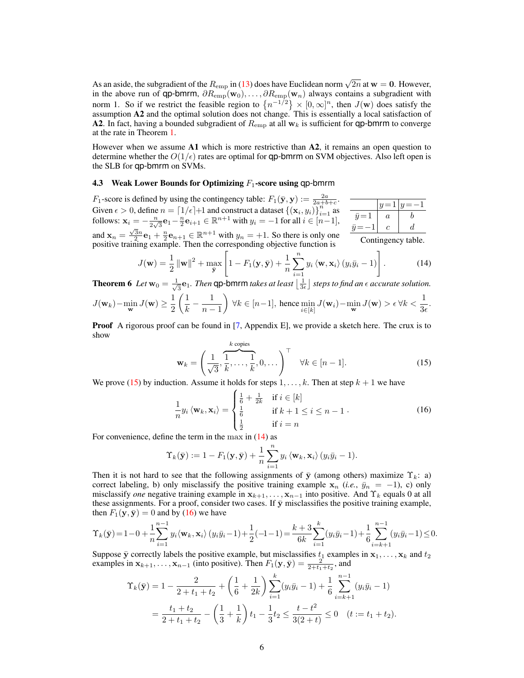As an aside, the subgradient of the  $R_{\text{emp}}$  in (13) does have Euclidean norm  $\sqrt{2n}$  at  $w = 0$ . However, in the above run of qp-bmrm,  $\partial R_{\text{emp}}(w_0), \dots, \partial R_{\text{emp}}(w_n)$  always contains a subgradient with norm 1. So if we restrict the feasible region to  $\{n^{-1/2}\}\times[0,\infty]^n$ , then  $J(\mathbf{w})$  does satisfy the assumption A2 and the optimal solution does not change. This is essentially a local satisfaction of A2. In fact, having a bounded subgradient of  $R_{\text{emp}}$  at all  $w_k$  is sufficient for qp-bmrm to converge at the rate in Theorem 1.

However when we assume A1 which is more restrictive than A2, it remains an open question to determine whether the  $O(1/\epsilon)$  rates are optimal for qp-bmrm on SVM objectives. Also left open is the SLB for qp-bmrm on SVMs.

#### 4.3 Weak Lower Bounds for Optimizing  $F_1$ -score using qp-bmrm

 $F_1$ -score is defined by using the contingency table:  $F_1(\bar{y}, y) := \frac{2a}{2a + b + c}$ . Given  $\epsilon > 0$ , define  $n = \lceil 1/\epsilon \rceil + 1$  and construct a dataset  $\{(\mathbf{x}_i, y_i)\}_{i=1}^{n}$  as follows:  $\mathbf{x}_i = -\frac{n}{2\sqrt{n}}$  $\alpha_i = -\frac{n}{2\sqrt{3}}e_1 - \frac{n}{2}e_{i+1} \in \mathbb{R}^{n+1}$  with  $y_i = -1$  for all  $i \in [n-1]$ , and  $\mathbf{x}_n = \frac{\sqrt{3}n}{2} \mathbf{e}_1 + \frac{n}{2} \mathbf{e}_{n+1} \in \mathbb{R}^{n+1}$  with  $y_n = +1$ . So there is only one positive training example. Then the corresponding objective function is  $y=1$  |y = -1  $\bar{y} = 1$  $\bar{y}=-1$  c d Contingency table.

$$
J(\mathbf{w}) = \frac{1}{2} ||\mathbf{w}||^2 + \max_{\bar{\mathbf{y}}} \left[ 1 - F_1(\mathbf{y}, \bar{\mathbf{y}}) + \frac{1}{n} \sum_{i=1}^n y_i \langle \mathbf{w}, \mathbf{x}_i \rangle (y_i \bar{y}_i - 1) \right]. \tag{14}
$$

**Theorem 6** Let  $\mathbf{w}_0 = \frac{1}{\sqrt{2}}$  $\frac{1}{3}$ e $_1$ *. Then* <code>qp-bmrm</code> takes at least  $\left\lfloor\frac{1}{3\epsilon}\right\rfloor$  steps to find an  $\epsilon$  accurate solution.  $J(\mathbf{w}_k) - \min_{\mathbf{w}} J(\mathbf{w}) \geq \frac{1}{2}$ 2  $\sqrt{1}$  $\frac{1}{k} - \frac{1}{n-1}$  $n-1$  $\bigg\{\forall k\in[n-1],\ \text{hence}\min_{i\in[k]}J(\mathbf{w}_i)-\min_{\mathbf{w}}J(\mathbf{w})>\epsilon\ \forall k<\frac{1}{3\epsilon}.$ 

**Proof** A rigorous proof can be found in [7, Appendix E], we provide a sketch here. The crux is to show

$$
\mathbf{w}_k = \left(\frac{1}{\sqrt{3}}, \overbrace{\frac{1}{k}}, \dots, \frac{1}{k}, 0, \dots\right)^\top \quad \forall k \in [n-1].
$$
 (15)

We prove (15) by induction. Assume it holds for steps  $1, \ldots, k$ . Then at step  $k + 1$  we have

$$
\frac{1}{n}y_i\langle \mathbf{w}_k, \mathbf{x}_i \rangle = \begin{cases} \frac{1}{6} + \frac{1}{2k} & \text{if } i \in [k] \\ \frac{1}{6} & \text{if } k+1 \leq i \leq n-1 \\ \frac{1}{2} & \text{if } i = n \end{cases}
$$
(16)

For convenience, define the term in the max in  $(14)$  as

$$
\Upsilon_k(\bar{\mathbf{y}}) := 1 - F_1(\mathbf{y}, \bar{\mathbf{y}}) + \frac{1}{n} \sum_{i=1}^n y_i \langle \mathbf{w}_k, \mathbf{x}_i \rangle (y_i \bar{y}_i - 1).
$$

Then it is not hard to see that the following assignments of  $\bar{y}$  (among others) maximize  $\Upsilon_k$ : a) correct labeling, b) only misclassify the positive training example  $x_n$  (*i.e.*,  $\bar{y}_n = -1$ ), c) only misclassify *one* negative training example in  $x_{k+1}, \ldots, x_{n-1}$  into positive. And  $\Upsilon_k$  equals 0 at all these assignments. For a proof, consider two cases. If  $\bar{y}$  misclassifies the positive training example, then  $F_1(\mathbf{y}, \bar{\mathbf{y}}) = 0$  and by (16) we have

$$
\Upsilon_k(\bar{\mathbf{y}}) = 1 - 0 + \frac{1}{n} \sum_{i=1}^{n-1} y_i \langle \mathbf{w}_k, \mathbf{x}_i \rangle (y_i \bar{y}_i - 1) + \frac{1}{2}(-1 - 1) = \frac{k+3}{6k} \sum_{i=1}^k (y_i \bar{y}_i - 1) + \frac{1}{6} \sum_{i=k+1}^{n-1} (y_i \bar{y}_i - 1) \le 0.
$$

Suppose  $\bar{y}$  correctly labels the positive example, but misclassifies  $t_1$  examples in  $x_1, \ldots, x_k$  and  $t_2$ examples in  $\mathbf{x}_{k+1}, \dots, \mathbf{x}_{n-1}$  (into positive). Then  $F_1(\mathbf{y}, \bar{\mathbf{y}}) = \frac{2}{2+t_1+t_2}$ , and

$$
\begin{split} \Upsilon_k(\bar{\mathbf{y}}) &= 1 - \frac{2}{2 + t_1 + t_2} + \left(\frac{1}{6} + \frac{1}{2k}\right) \sum_{i=1}^k (y_i \bar{y}_i - 1) + \frac{1}{6} \sum_{i=k+1}^{n-1} (y_i \bar{y}_i - 1) \\ &= \frac{t_1 + t_2}{2 + t_1 + t_2} - \left(\frac{1}{3} + \frac{1}{k}\right) t_1 - \frac{1}{3} t_2 \le \frac{t - t^2}{3(2 + t)} \le 0 \quad (t := t_1 + t_2). \end{split}
$$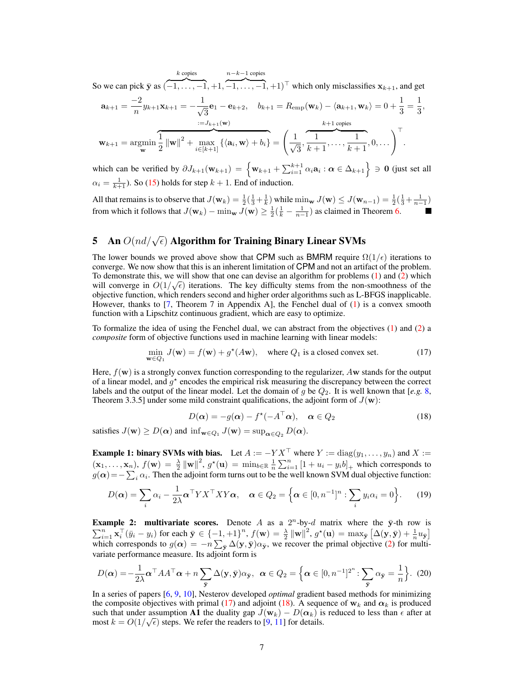$n-k-1$  copies

 $k$  copies

So we can pick  $\bar{y}$  as (  $\overline{-1,\ldots,-1},+1,$  $\overline{{-1,\ldots,-1}}, +1)^\top$  which only misclassifies  $\mathbf{x}_{k+1}$ , and get

$$
\mathbf{a}_{k+1} = \frac{-2}{n} y_{k+1} \mathbf{x}_{k+1} = -\frac{1}{\sqrt{3}} \mathbf{e}_1 - \mathbf{e}_{k+2}, \quad b_{k+1} = R_{\text{emp}}(\mathbf{w}_k) - \langle \mathbf{a}_{k+1}, \mathbf{w}_k \rangle = 0 + \frac{1}{3} = \frac{1}{3},
$$
  

$$
\mathbf{w}_{k+1} = \operatorname*{argmin}_{\mathbf{w}} \frac{1}{2} ||\mathbf{w}||^2 + \max_{i \in [k+1]} \{ \langle \mathbf{a}_i, \mathbf{w} \rangle + b_i \} = \left( \frac{1}{\sqrt{3}}, \frac{1}{k+1}, \dots, \frac{1}{k+1}, 0, \dots \right)^\top.
$$

which can be verified by  $\partial J_{k+1}(\mathbf{w}_{k+1}) = \left\{ \mathbf{w}_{k+1} + \sum_{i=1}^{k+1} \alpha_i \mathbf{a}_i : \boldsymbol{\alpha} \in \Delta_{k+1} \right\} \ni \mathbf{0}$  (just set all  $\alpha_i = \frac{1}{k+1}$ . So (15) holds for step  $k + 1$ . End of induction.

All that remains is to observe that  $J(\mathbf{w}_k) = \frac{1}{2}(\frac{1}{3} + \frac{1}{k})$  while  $\min_{\mathbf{w}} J(\mathbf{w}) \le J(\mathbf{w}_{n-1}) = \frac{1}{2}(\frac{1}{3} + \frac{1}{n-1})$ from which it follows that  $J(\mathbf{w}_k) - \min_{\mathbf{w}} J(\mathbf{w}) \ge \frac{1}{2}(\frac{1}{k} - \frac{1}{n-1})$  as claimed in Theorem 6.

# 5 An  $O(nd/\sqrt{\epsilon})$  Algorithm for Training Binary Linear SVMs

The lower bounds we proved above show that CPM such as BMRM require  $\Omega(1/\epsilon)$  iterations to converge. We now show that this is an inherent limitation of CPM and not an artifact of the problem. To demonstrate this, we will show that one can devise an algorithm for problems (1) and (2) which will converge in  $O(1/\sqrt{\epsilon})$  iterations. The key difficulty stems from the non-smoothness of the objective function, which renders second and higher order algorithms such as L-BFGS inapplicable. However, thanks to [7, Theorem 7 in Appendix A], the Fenchel dual of (1) is a convex smooth function with a Lipschitz continuous gradient, which are easy to optimize.

To formalize the idea of using the Fenchel dual, we can abstract from the objectives (1) and (2) a *composite* form of objective functions used in machine learning with linear models:

$$
\min_{\mathbf{w}\in Q_1} J(\mathbf{w}) = f(\mathbf{w}) + g^*(A\mathbf{w}), \quad \text{where } Q_1 \text{ is a closed convex set.} \tag{17}
$$

Here,  $f(\mathbf{w})$  is a strongly convex function corresponding to the regularizer, Aw stands for the output of a linear model, and  $g^*$  encodes the empirical risk measuring the discrepancy between the correct labels and the output of the linear model. Let the domain of g be  $Q_2$ . It is well known that [e.g. 8, Theorem 3.3.5] under some mild constraint qualifications, the adjoint form of  $J(\mathbf{w})$ :

$$
D(\alpha) = -g(\alpha) - f^*(-A^{\top}\alpha), \quad \alpha \in Q_2 \tag{18}
$$

satisfies  $J(\mathbf{w}) \geq D(\alpha)$  and  $\inf_{\mathbf{w} \in Q_1} J(\mathbf{w}) = \sup_{\alpha \in Q_2} D(\alpha)$ .

**Example 1: binary SVMs with bias.** Let  $A := -Y X^{\top}$  where  $Y := diag(y_1, \ldots, y_n)$  and  $X :=$  $(\mathbf{x}_1,\ldots,\mathbf{x}_n)$ ,  $f(\mathbf{w}) = \frac{\lambda}{2} {\lVert \mathbf{w} \rVert}^2$ ,  $g^*(\mathbf{u}) = \min_{b \in \mathbb{R}} \frac{1}{n} \sum_{i=1}^n [1 + u_i - y_i b]_+$  which corresponds to  $g(\alpha) = -\sum_i \alpha_i$ . Then the adjoint form turns out to be the well known SVM dual objective function:

$$
D(\boldsymbol{\alpha}) = \sum_{i} \alpha_i - \frac{1}{2\lambda} \boldsymbol{\alpha}^\top Y X^\top XY \boldsymbol{\alpha}, \quad \boldsymbol{\alpha} \in Q_2 = \left\{ \boldsymbol{\alpha} \in [0, n^{-1}]^n : \sum_{i} y_i \alpha_i = 0 \right\}.
$$
 (19)

**Example 2: multivariate scores.** Denote A as a  $2^n$ -by-d matrix where the y-th row is  $\sum_{i=1}^n \mathbf{x}_i^\top (\bar{y}_i - y_i)$  for each  $\bar{\mathbf{y}} \in \{-1, +1\}^n$ ,  $f(\mathbf{w}) = \frac{\lambda}{2} ||\mathbf{w}||^2$ ,  $g^*(\mathbf{u}) = \max_{\bar{\mathbf{y}}} [\Delta(\mathbf{y}, \bar{\mathbf{y}}) + \frac{1}{n} u_{\bar{\mathbf{y}}}]$ which corresponds to  $g(\alpha) = -n \sum_{\bar{y}} \Delta(y, \bar{y}) \alpha_{\bar{y}}$ , we recover the primal objective (2) for multivariate performance measure. Its adjoint form is

$$
D(\boldsymbol{\alpha}) = -\frac{1}{2\lambda} \boldsymbol{\alpha}^\top A A^\top \boldsymbol{\alpha} + n \sum_{\bar{\mathbf{y}}} \Delta(\mathbf{y}, \bar{\mathbf{y}}) \alpha_{\bar{\mathbf{y}}}, \ \ \boldsymbol{\alpha} \in Q_2 = \left\{ \boldsymbol{\alpha} \in [0, n^{-1}]^{2^n} : \sum_{\bar{\mathbf{y}}} \alpha_{\bar{\mathbf{y}}} = \frac{1}{n} \right\}. \tag{20}
$$

In a series of papers [6, 9, 10], Nesterov developed *optimal* gradient based methods for minimizing the composite objectives with primal (17) and adjoint (18). A sequence of  $w_k$  and  $\alpha_k$  is produced such that under assumption **A1** the duality gap  $J(\mathbf{w}_k) - D(\mathbf{\alpha}_k)$  is reduced to less than  $\epsilon$  after at most  $k = O(1/\sqrt{\epsilon})$  steps. We refer the readers to [9, 11] for details.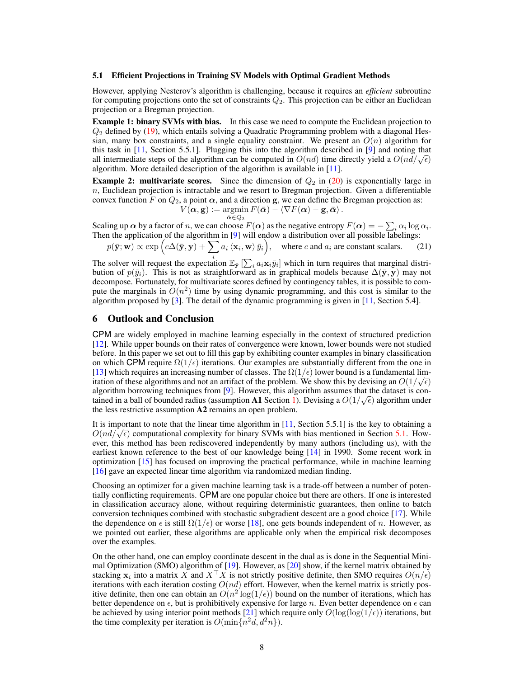#### 5.1 Efficient Projections in Training SV Models with Optimal Gradient Methods

However, applying Nesterov's algorithm is challenging, because it requires an *efficient* subroutine for computing projections onto the set of constraints  $Q_2$ . This projection can be either an Euclidean projection or a Bregman projection.

Example 1: binary SVMs with bias. In this case we need to compute the Euclidean projection to  $Q_2$  defined by (19), which entails solving a Quadratic Programming problem with a diagonal Hessian, many box constraints, and a single equality constraint. We present an  $O(n)$  algorithm for this task in  $[11,$  Section 5.5.1]. Plugging this into the algorithm described in  $[9]$  and noting that this task in [11, Section 5.5.1]. Plugging this into the algorithm described in [9] and noting that all intermediate steps of the algorithm can be computed in  $O(nd)$  time directly yield a  $O(nd/\sqrt{\epsilon})$ algorithm. More detailed description of the algorithm is available in [11].

**Example 2: multivariate scores.** Since the dimension of  $Q_2$  in (20) is exponentially large in  $n$ , Euclidean projection is intractable and we resort to Bregman projection. Given a differentiable convex function F on  $Q_2$ , a point  $\alpha$ , and a direction g, we can define the Bregman projection as:

$$
V(\boldsymbol{\alpha}, \mathbf{g}) := \operatorname*{argmin}_{\bar{\boldsymbol{\alpha}} \in Q_2} F(\bar{\boldsymbol{\alpha}}) - \langle \nabla F(\boldsymbol{\alpha}) - \mathbf{g}, \bar{\boldsymbol{\alpha}} \rangle.
$$

Scaling up  $\alpha$  by a factor of n, we can choose  $F(\alpha)$  as the negative entropy  $F(\alpha) = -\sum_i \alpha_i \log \alpha_i$ . Then the application of the algorithm in [9] will endow a distribution over all possible labelings:

$$
p(\bar{\mathbf{y}}; \mathbf{w}) \propto \exp\left(c\Delta(\bar{\mathbf{y}}, \mathbf{y}) + \sum_{i} a_i \langle \mathbf{x}_i, \mathbf{w} \rangle \bar{y}_i\right), \quad \text{where } c \text{ and } a_i \text{ are constant scalars.} \tag{21}
$$

The solver will request the expectation  $\mathbb{E}_{\bar{y}}\left[\sum_i a_i \mathbf{x}_i \bar{y}_i\right]$  which in turn requires that marginal distribution of  $p(\bar{y}_i)$ . This is not as straightforward as in graphical models because  $\Delta(\bar{y}, y)$  may not decompose. Fortunately, for multivariate scores defined by contingency tables, it is possible to compute the marginals in  $O(n^2)$  time by using dynamic programming, and this cost is similar to the algorithm proposed by [3]. The detail of the dynamic programming is given in [11, Section 5.4].

# 6 Outlook and Conclusion

CPM are widely employed in machine learning especially in the context of structured prediction [12]. While upper bounds on their rates of convergence were known, lower bounds were not studied before. In this paper we set out to fill this gap by exhibiting counter examples in binary classification on which CPM require  $\Omega(1/\epsilon)$  iterations. Our examples are substantially different from the one in [13] which requires an increasing number of classes. The  $\Omega(1/\epsilon)$  lower bound is a fundamental limitation of these algorithms and not an artifact of the problem. We show this by devising an  $O(1/\sqrt{\epsilon})$ algorithm borrowing techniques from [9]. However, this algorithm assumes that the dataset is contained in a ball of bounded radius (assumption A1 Section 1). Devising a  $O(1/\sqrt{\epsilon})$  algorithm under the less restrictive assumption A2 remains an open problem.

It is important to note that the linear time algorithm in  $[11,$  Section 5.5.1] is the key to obtaining a It is important to note that the linear time algorithm in [11, Section 5.5.1] is the key to obtaining a  $O(nd/\sqrt{\epsilon})$  computational complexity for binary SVMs with bias mentioned in Section 5.1. However, this method has been rediscovered independently by many authors (including us), with the earliest known reference to the best of our knowledge being [14] in 1990. Some recent work in optimization [15] has focused on improving the practical performance, while in machine learning [16] gave an expected linear time algorithm via randomized median finding.

Choosing an optimizer for a given machine learning task is a trade-off between a number of potentially conflicting requirements. CPM are one popular choice but there are others. If one is interested in classification accuracy alone, without requiring deterministic guarantees, then online to batch conversion techniques combined with stochastic subgradient descent are a good choice [17]. While the dependence on  $\epsilon$  is still  $\Omega(1/\epsilon)$  or worse [18], one gets bounds independent of n. However, as we pointed out earlier, these algorithms are applicable only when the empirical risk decomposes over the examples.

On the other hand, one can employ coordinate descent in the dual as is done in the Sequential Minimal Optimization (SMO) algorithm of  $[19]$ . However, as  $[20]$  show, if the kernel matrix obtained by stacking  $x_i$  into a matrix X and  $X^{\top}X$  is not strictly positive definite, then SMO requires  $O(n/\epsilon)$ iterations with each iteration costing  $O(nd)$  effort. However, when the kernel matrix is strictly positive definite, then one can obtain an  $O(n^2 \log(1/\epsilon))$  bound on the number of iterations, which has better dependence on  $\epsilon$ , but is prohibitively expensive for large n. Even better dependence on  $\epsilon$  can be achieved by using interior point methods [21] which require only  $O(\log(\log(1/\epsilon))$  iterations, but the time complexity per iteration is  $O(\min\{n^2d, d^2n\})$ .